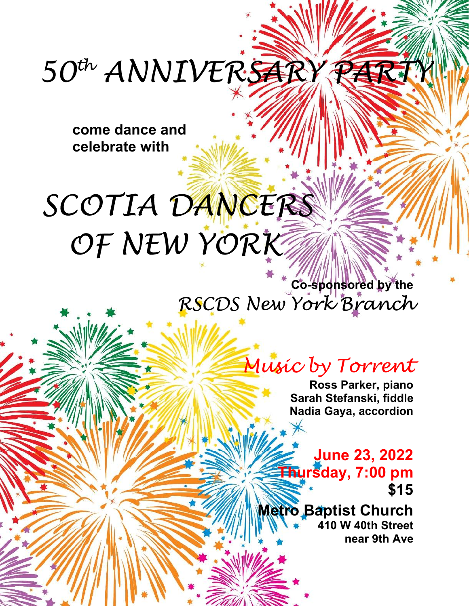## 50th ANNIVERSARY PARTY

**come dance and celebrate with** 

## SCOTIA DANCERS OF NEW YORK

**Co-sponsored by the**  RSCDS New York Branch

## Music by Torrent

**Ross Parker, piano Sarah Stefanski, fiddle Nadia Gaya, accordion** 

**June 23, 2022 Thursday, 7:00 pm \$15** 

**Metro Baptist Church 410 W 40th Street near 9th Ave**